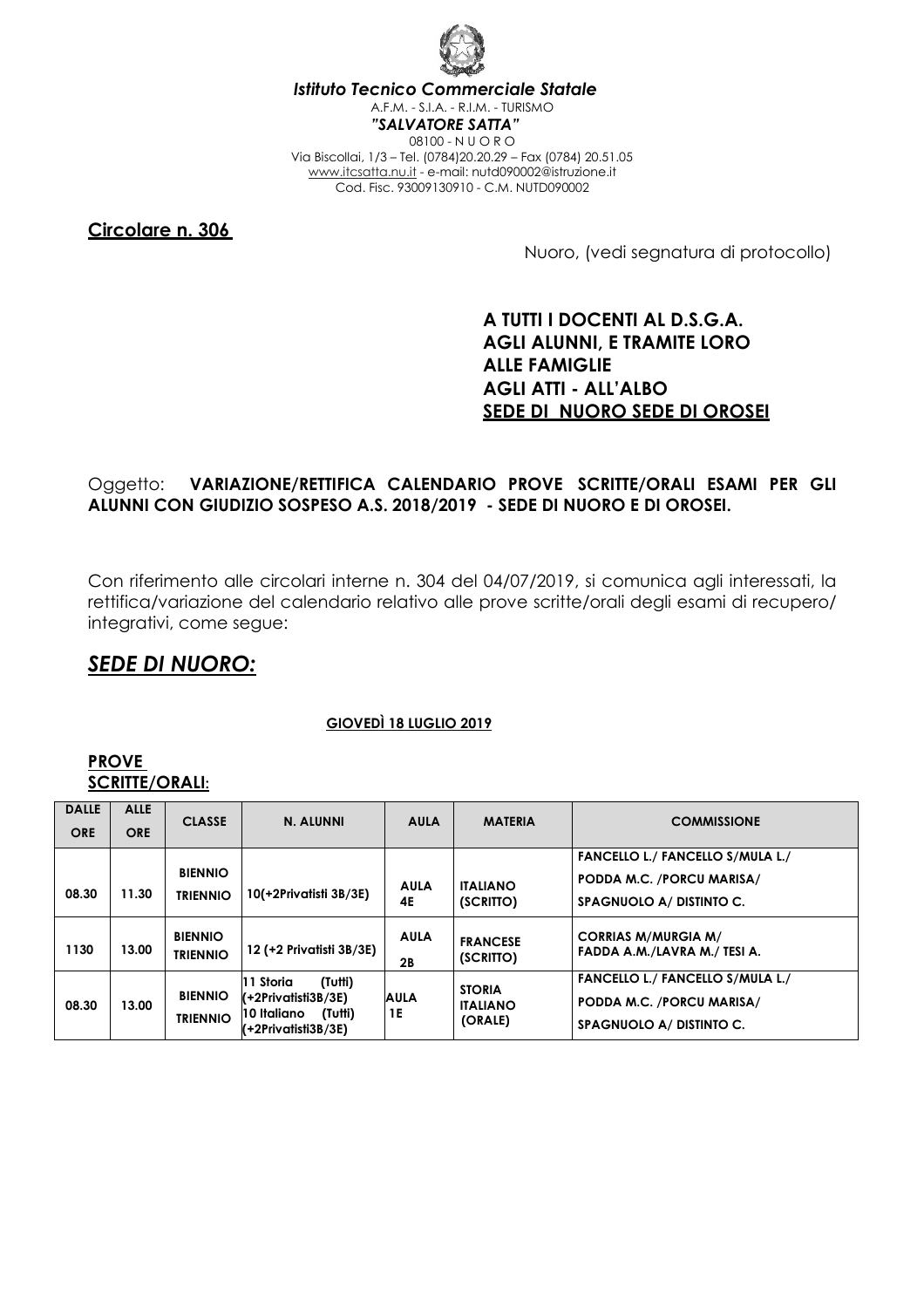

*Istituto Tecnico Commerciale Statale*  A.F.M. - S.I.A. - R.I.M. - TURISMO *"SALVATORE SATTA"*  08100 - N U O R O Via Biscollai, 1/3 – Tel. (0784)20.20.29 – Fax (0784) 20.51.05 www.itcsatta.nu.it - e-mail: nutd090002@istruzione.it Cod. Fisc. 93009130910 - C.M. NUTD090002

**Circolare n. 306** 

Nuoro, (vedi segnatura di protocollo)

### **A TUTTI I DOCENTI AL D.S.G.A. AGLI ALUNNI, E TRAMITE LORO ALLE FAMIGLIE AGLI ATTI - ALL'ALBO SEDE DI NUORO SEDE DI OROSEI**

#### Oggetto: **VARIAZIONE/RETTIFICA CALENDARIO PROVE SCRITTE/ORALI ESAMI PER GLI ALUNNI CON GIUDIZIO SOSPESO A.S. 2018/2019 - SEDE DI NUORO E DI OROSEI.**

Con riferimento alle circolari interne n. 304 del 04/07/2019, si comunica agli interessati, la rettifica/variazione del calendario relativo alle prove scritte/orali degli esami di recupero/ integrativi, come segue:

## *SEDE DI NUORO:*

#### **GIOVEDÌ 18 LUGLIO 2019**

#### **PROVE SCRITTE/ORALI:**

| <b>DALLE</b> | <b>ALLE</b> | <b>CLASSE</b>                     | N. ALUNNI                                                                                                  | <b>AULA</b>       | <b>MATERIA</b>                              | <b>COMMISSIONE</b>                                                                               |
|--------------|-------------|-----------------------------------|------------------------------------------------------------------------------------------------------------|-------------------|---------------------------------------------|--------------------------------------------------------------------------------------------------|
| <b>ORE</b>   | <b>ORE</b>  |                                   |                                                                                                            |                   |                                             |                                                                                                  |
|              |             |                                   |                                                                                                            |                   |                                             | <b>FANCELLO L./ FANCELLO S/MULA L./</b>                                                          |
|              |             | <b>BIENNIO</b>                    |                                                                                                            | <b>AULA</b>       | <b>ITALIANO</b>                             | PODDA M.C. /PORCU MARISA/                                                                        |
| 08.30        | 11.30       | <b>TRIENNIO</b>                   | 10(+2Privatisti 3B/3E)                                                                                     | 4E                | (SCRITTO)                                   | SPAGNUOLO A/ DISTINTO C.                                                                         |
| 1130         | 13.00       | <b>BIENNIO</b><br><b>TRIENNIO</b> | 12 (+2 Privatisti 3B/3E)                                                                                   | <b>AULA</b><br>2B | <b>FRANCESE</b><br>(SCRITTO)                | <b>CORRIAS M/MURGIA M/</b><br>FADDA A.M./LAVRA M./ TESI A.                                       |
| 08.30        | 13.00       | <b>BIENNIO</b><br><b>TRIENNIO</b> | 11 Storia<br>(Tutti)<br>$(-2)$ Privatisti $3B/3E$<br>10 Italiano<br>(Tutti)<br>$( + 2$ Privatisti $3B/3E)$ | AULA<br>1E        | <b>STORIA</b><br><b>ITALIANO</b><br>(ORALE) | <b>FANCELLO L./ FANCELLO S/MULA L./</b><br>PODDA M.C. /PORCU MARISA/<br>SPAGNUOLO A/ DISTINTO C. |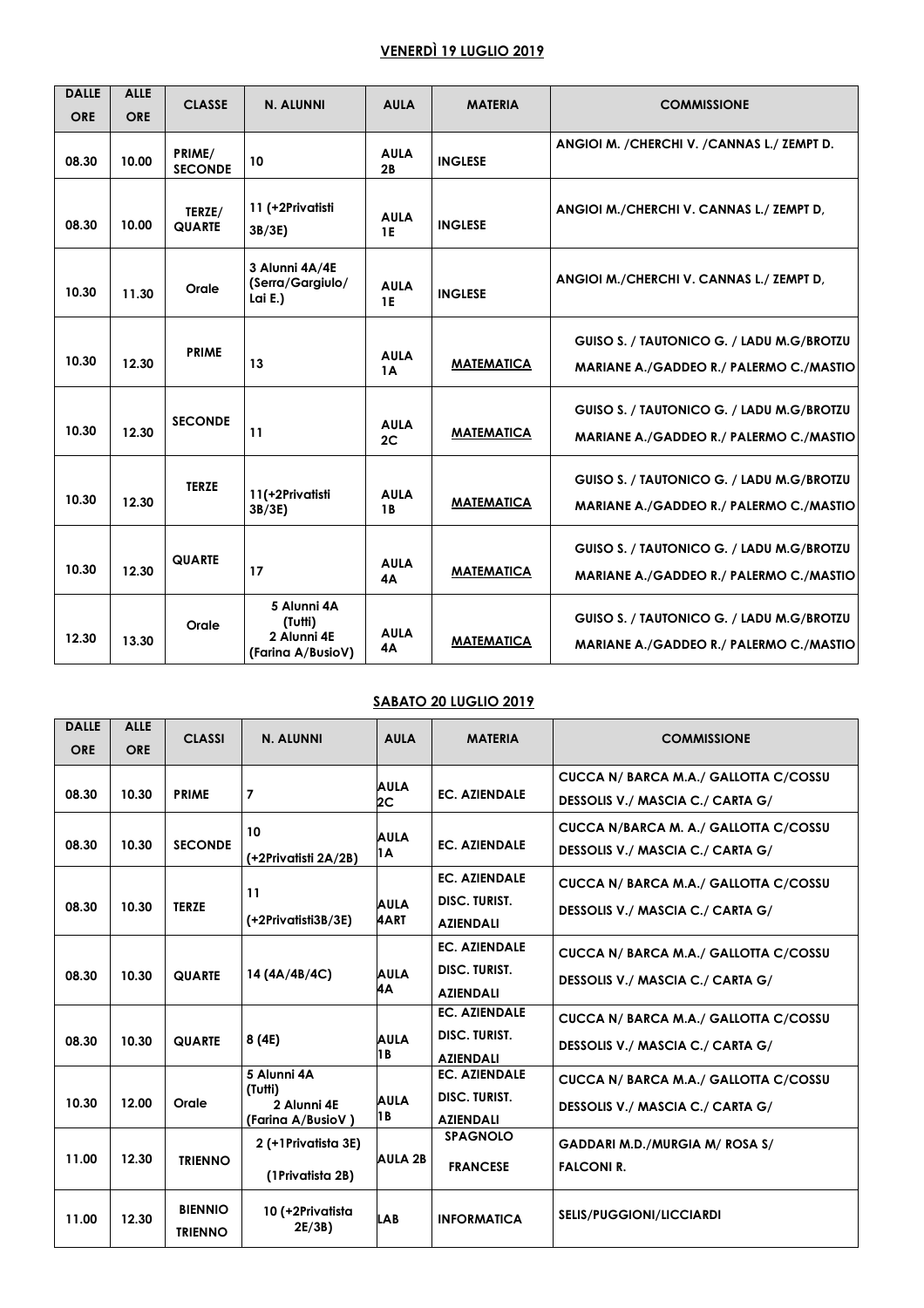### **VENERDÌ 19 LUGLIO 2019**

| <b>DALLE</b><br><b>ORE</b> | <b>ALLE</b><br><b>ORE</b> | <b>CLASSE</b>            | N. ALUNNI                                                  | <b>AULA</b>              | <b>MATERIA</b>    | <b>COMMISSIONE</b>                                                                          |
|----------------------------|---------------------------|--------------------------|------------------------------------------------------------|--------------------------|-------------------|---------------------------------------------------------------------------------------------|
| 08.30                      | 10.00                     | PRIME/<br><b>SECONDE</b> | 10                                                         | <b>AULA</b><br>2B        | <b>INGLESE</b>    | ANGIOI M. / CHERCHI V. / CANNAS L./ ZEMPT D.                                                |
| 08.30                      | 10.00                     | TERZE/<br><b>QUARTE</b>  | 11 (+2Privatisti<br>3B/3E)                                 | <b>AULA</b><br><b>1E</b> | <b>INGLESE</b>    | ANGIOI M./CHERCHI V. CANNAS L./ ZEMPT D.                                                    |
| 10.30                      | 11.30                     | Orale                    | 3 Alunni 4A/4E<br>(Serra/Gargiulo/<br>Lai E.)              | <b>AULA</b><br><b>1E</b> | <b>INGLESE</b>    | ANGIOI M./CHERCHI V. CANNAS L./ ZEMPT D.                                                    |
| 10.30                      | 12.30                     | <b>PRIME</b>             | 13                                                         | <b>AULA</b><br>1A        | <b>MATEMATICA</b> | GUISO S. / TAUTONICO G. / LADU M.G/BROTZU<br>MARIANE A./GADDEO R./ PALERMO C./MASTIO        |
| 10.30                      | 12.30                     | <b>SECONDE</b>           | 11                                                         | <b>AULA</b><br>2C        | <b>MATEMATICA</b> | GUISO S. / TAUTONICO G. / LADU M.G/BROTZU<br>MARIANE A./GADDEO R./ PALERMO C./MASTIO        |
| 10.30                      | 12.30                     | <b>TERZE</b>             | 11(+2Privatisti<br>3B/3E)                                  | <b>AULA</b><br><b>1B</b> | <b>MATEMATICA</b> | GUISO S. / TAUTONICO G. / LADU M.G/BROTZU<br>MARIANE A./GADDEO R./ PALERMO C./MASTIO        |
| 10.30                      | 12.30                     | <b>QUARTE</b>            | 17                                                         | <b>AULA</b><br><b>4A</b> | <b>MATEMATICA</b> | GUISO S. / TAUTONICO G. / LADU M.G/BROTZU<br>MARIANE A./GADDEO R./ PALERMO C./MASTIO        |
| 12.30                      | 13.30                     | Orale                    | 5 Alunni 4A<br>(Tutti)<br>2 Alunni 4E<br>(Farina A/BusioV) | <b>AULA</b><br>4A        | <b>MATEMATICA</b> | GUISO S. / TAUTONICO G. / LADU M.G/BROTZU<br><b>MARIANE A./GADDEO R./ PALERMO C./MASTIO</b> |

#### **SABATO 20 LUGLIO 2019**

| <b>DALLE</b><br><b>ORE</b> | <b>ALLE</b><br><b>ORE</b> | <b>CLASSI</b>                    | <b>N. ALUNNI</b>                                           | <b>AULA</b>         | <b>MATERIA</b>                                                   | <b>COMMISSIONE</b>                                                        |
|----------------------------|---------------------------|----------------------------------|------------------------------------------------------------|---------------------|------------------------------------------------------------------|---------------------------------------------------------------------------|
| 08.30                      | 10.30                     | <b>PRIME</b>                     | $\overline{7}$                                             | <b>AULA</b><br>2C   | <b>EC. AZIENDALE</b>                                             | CUCCA N/ BARCA M.A./ GALLOTTA C/COSSU<br>DESSOLIS V./ MASCIA C./ CARTA G/ |
| 08.30                      | 10.30                     | <b>SECONDE</b>                   | 10<br>(+2Privatisti 2A/2B)                                 | <b>AULA</b><br>1A   | <b>EC. AZIENDALE</b>                                             | CUCCA N/BARCA M. A./ GALLOTTA C/COSSU<br>DESSOLIS V./ MASCIA C./ CARTA G/ |
| 08.30                      | 10.30                     | <b>TERZE</b>                     | 11<br>(+2Privatisti3B/3E)                                  | <b>AULA</b><br>4ART | <b>EC. AZIENDALE</b><br><b>DISC. TURIST.</b><br><b>AZIENDALI</b> | CUCCA N/ BARCA M.A./ GALLOTTA C/COSSU<br>DESSOLIS V./ MASCIA C./ CARTA G/ |
| 08.30                      | 10.30                     | <b>QUARTE</b>                    | 14 (4A/4B/4C)                                              | <b>AULA</b><br>4A   | <b>EC. AZIENDALE</b><br><b>DISC. TURIST.</b><br><b>AZIENDALI</b> | CUCCA N/ BARCA M.A./ GALLOTTA C/COSSU<br>DESSOLIS V./ MASCIA C./ CARTA G/ |
| 08.30                      | 10.30                     | <b>QUARTE</b>                    | 8 (4E)                                                     | <b>AULA</b><br>1 B  | <b>EC. AZIENDALE</b><br><b>DISC. TURIST.</b><br><b>AZIENDALI</b> | CUCCA N/ BARCA M.A./ GALLOTTA C/COSSU<br>DESSOLIS V./ MASCIA C./ CARTA G/ |
| 10.30                      | 12.00                     | Orale                            | 5 Alunni 4A<br>(Tutti)<br>2 Alunni 4E<br>(Farina A/BusioV) | <b>AULA</b><br>18   | <b>EC. AZIENDALE</b><br><b>DISC. TURIST.</b><br><b>AZIENDALI</b> | CUCCA N/ BARCA M.A./ GALLOTTA C/COSSU<br>DESSOLIS V./ MASCIA C./ CARTA G/ |
| 11.00                      | 12.30                     | <b>TRIENNO</b>                   | 2 (+1Privatista 3E)<br>(1Privatista 2B)                    | <b>AULA 2B</b>      | <b>SPAGNOLO</b><br><b>FRANCESE</b>                               | <b>GADDARI M.D./MURGIA M/ ROSA S/</b><br><b>FALCONI R.</b>                |
| 11.00                      | 12.30                     | <b>BIENNIO</b><br><b>TRIENNO</b> | 10 (+2Privatista<br>2E/3B)                                 | <b>LAB</b>          | <b>INFORMATICA</b>                                               | <b>SELIS/PUGGIONI/LICCIARDI</b>                                           |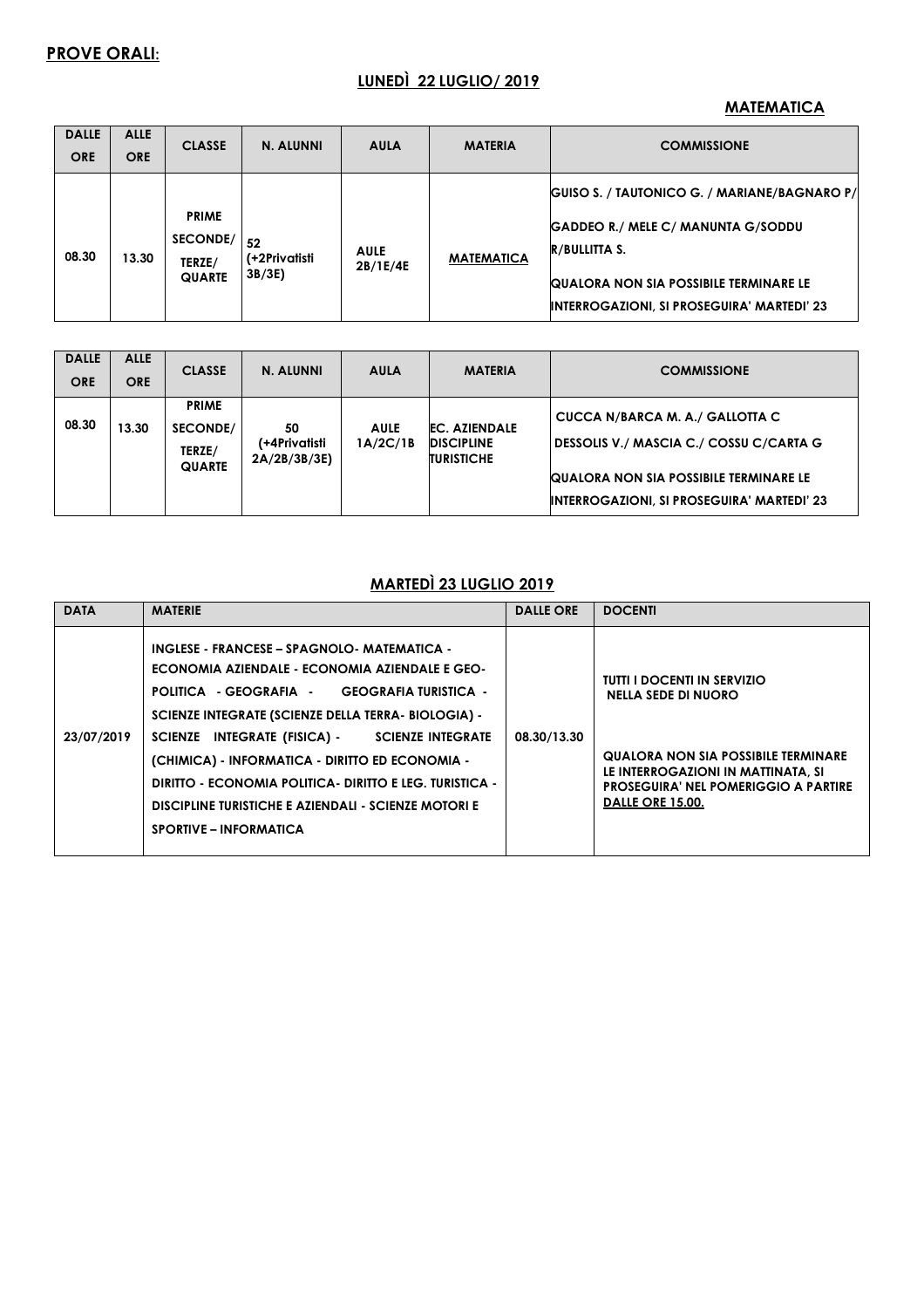### **LUNEDÌ 22 LUGLIO/ 2019**

#### **MATEMATICA**

| <b>DALLE</b><br><b>ORE</b> | <b>ALLE</b><br><b>ORE</b> | <b>CLASSE</b>                                       | N. ALUNNI                    | <b>AULA</b>             | <b>MATERIA</b>    | <b>COMMISSIONE</b>                                                                                                                                                                                               |
|----------------------------|---------------------------|-----------------------------------------------------|------------------------------|-------------------------|-------------------|------------------------------------------------------------------------------------------------------------------------------------------------------------------------------------------------------------------|
| 08.30                      | 13.30                     | <b>PRIME</b><br>SECONDE/<br>TERZE/<br><b>QUARTE</b> | 52<br>(+2Privatisti<br>3B/3E | <b>AULE</b><br>2B/1E/4E | <b>MATEMATICA</b> | GUISO S. / TAUTONICO G. / MARIANE/BAGNARO P/<br>GADDEO R./ MELE C/ MANUNTA G/SODDU<br><b>R/BULLITTA S.</b><br><b>QUALORA NON SIA POSSIBILE TERMINARE LE</b><br><b>INTERROGAZIONI, SI PROSEGUIRA' MARTEDI' 23</b> |

| <b>DALLE</b><br><b>ORE</b> | <b>ALLE</b><br><b>ORE</b> | <b>CLASSE</b>                                       | N. ALUNNI                          | <b>AULA</b>             | <b>MATERIA</b>                                                 | <b>COMMISSIONE</b>                                                                                                                                                               |
|----------------------------|---------------------------|-----------------------------------------------------|------------------------------------|-------------------------|----------------------------------------------------------------|----------------------------------------------------------------------------------------------------------------------------------------------------------------------------------|
|                            |                           |                                                     |                                    |                         |                                                                |                                                                                                                                                                                  |
| 08.30                      | 13.30                     | <b>PRIME</b><br>SECONDE/<br>TERZE/<br><b>QUARTE</b> | 50<br>(+4Privatisti<br>2A/2B/3B/3E | <b>AULE</b><br>1A/2C/1B | <b>EC. AZIENDALE</b><br><b>DISCIPLINE</b><br><b>TURISTICHE</b> | CUCCA N/BARCA M. A./ GALLOTTA C<br>DESSOLIS V./ MASCIA C./ COSSU C/CARTA G<br><b>QUALORA NON SIA POSSIBILE TERMINARE LE</b><br><b>INTERROGAZIONI, SI PROSEGUIRA' MARTEDI' 23</b> |

### **MARTEDÌ 23 LUGLIO 2019**

| <b>DATA</b> | <b>MATERIE</b>                                                                                                                                                                                                                                                                                                                                                                                                                                                  | <b>DALLE ORE</b> | <b>DOCENTI</b>                                                                                                                                                                                                          |
|-------------|-----------------------------------------------------------------------------------------------------------------------------------------------------------------------------------------------------------------------------------------------------------------------------------------------------------------------------------------------------------------------------------------------------------------------------------------------------------------|------------------|-------------------------------------------------------------------------------------------------------------------------------------------------------------------------------------------------------------------------|
| 23/07/2019  | INGLESE - FRANCESE – SPAGNOLO - MATEMATICA -<br>ECONOMIA AZIENDALE - ECONOMIA AZIENDALE E GEO-<br>POLITICA - GEOGRAFIA - GEOGRAFIA TURISTICA -<br>SCIENZE INTEGRATE (SCIENZE DELLA TERRA- BIOLOGIA) -<br>SCIENZE INTEGRATE (FISICA) - SCIENZE INTEGRATE<br>(CHIMICA) - INFORMATICA - DIRITTO ED ECONOMIA -<br>DIRITTO - ECONOMIA POLITICA - DIRITTO E LEG. TURISTICA -<br>DISCIPLINE TURISTICHE E AZIENDALI - SCIENZE MOTORI E<br><b>SPORTIVE – INFORMATICA</b> | 08.30/13.30      | <b>TUTTI I DOCENTI IN SERVIZIO</b><br><b>NELLA SEDE DI NUORO</b><br><b>QUALORA NON SIA POSSIBILE TERMINARE</b><br>LE INTERROGAZIONI IN MATTINATA, SI<br><b>PROSEGUIRA' NEL POMERIGGIO A PARTIRE</b><br>DALLE ORE 15.00. |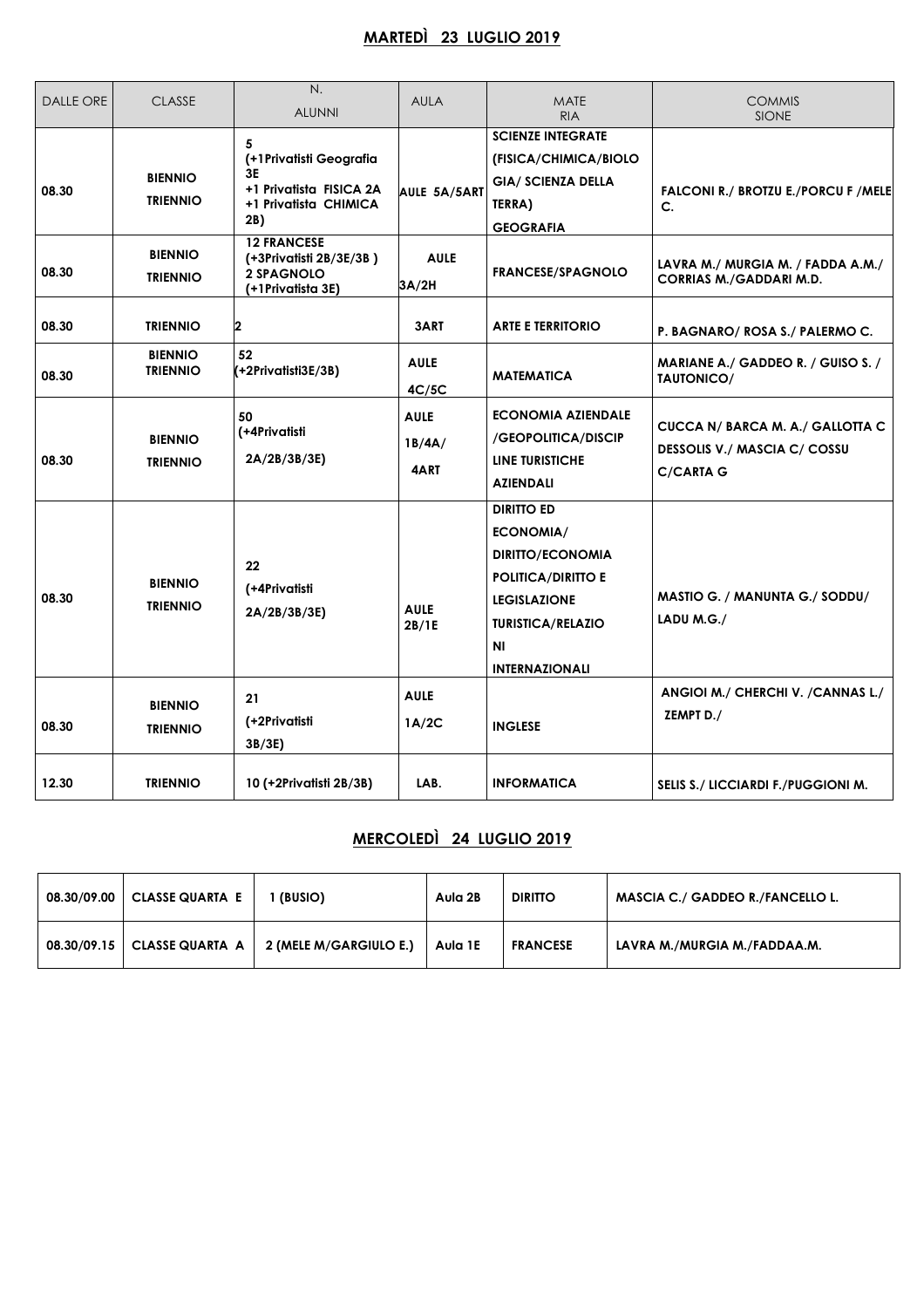### **MARTEDÌ 23 LUGLIO 2019**

| DALLE ORE | <b>CLASSE</b>                     | N.<br><b>ALUNNI</b>                                                                            | <b>AULA</b>                   | <b>MATE</b><br><b>RIA</b>                                                                                                                                                       | <b>COMMIS</b><br><b>SIONE</b>                                                               |
|-----------|-----------------------------------|------------------------------------------------------------------------------------------------|-------------------------------|---------------------------------------------------------------------------------------------------------------------------------------------------------------------------------|---------------------------------------------------------------------------------------------|
| 08.30     | <b>BIENNIO</b><br><b>TRIENNIO</b> | 5<br>(+1 Privatisti Geografia<br>3Е<br>+1 Privatista FISICA 2A<br>+1 Privatista CHIMICA<br>2B) | AULE 5A/5ART                  | <b>SCIENZE INTEGRATE</b><br>(FISICA/CHIMICA/BIOLO<br><b>GIA/ SCIENZA DELLA</b><br>TERRA)<br><b>GEOGRAFIA</b>                                                                    | FALCONI R./ BROTZU E./PORCU F / MELE<br>C.                                                  |
| 08.30     | <b>BIENNIO</b><br><b>TRIENNIO</b> | <b>12 FRANCESE</b><br>(+3Privatisti 2B/3E/3B)<br>2 SPAGNOLO<br>(+1Privatista 3E)               | <b>AULE</b><br>3A/2H          | <b>FRANCESE/SPAGNOLO</b>                                                                                                                                                        | LAVRA M./ MURGIA M. / FADDA A.M./<br><b>CORRIAS M./GADDARI M.D.</b>                         |
| 08.30     | <b>TRIENNIO</b>                   | 2                                                                                              | 3ART                          | <b>ARTE E TERRITORIO</b>                                                                                                                                                        | P. BAGNARO/ROSA S./ PALERMO C.                                                              |
| 08.30     | <b>BIENNIO</b><br><b>TRIENNIO</b> | 52<br>$( +2$ Privatisti $3E/3B)$                                                               | <b>AULE</b><br>4C/5C          | <b>MATEMATICA</b>                                                                                                                                                               | MARIANE A./ GADDEO R. / GUISO S. /<br>TAUTONICO/                                            |
| 08.30     | <b>BIENNIO</b><br><b>TRIENNIO</b> | 50<br>(+4Privatisti<br>2A/2B/3B/3E)                                                            | <b>AULE</b><br>1B/4A/<br>4ART | <b>ECONOMIA AZIENDALE</b><br>/GEOPOLITICA/DISCIP<br><b>LINE TURISTICHE</b><br>AZIENDALI                                                                                         | CUCCA N/ BARCA M. A./ GALLOTTA C<br><b>DESSOLIS V./ MASCIA C/ COSSU</b><br><b>C/CARTA G</b> |
| 08.30     | <b>BIENNIO</b><br><b>TRIENNIO</b> | 22<br>(+4Privatisti<br>2A/2B/3B/3E                                                             | <b>AULE</b><br>2B/1E          | <b>DIRITTO ED</b><br><b>ECONOMIA/</b><br><b>DIRITTO/ECONOMIA</b><br><b>POLITICA/DIRITIO E</b><br><b>LEGISLAZIONE</b><br><b>TURISTICA/RELAZIO</b><br>ΝI<br><b>INTERNAZIONALI</b> | MASTIO G. / MANUNTA G./ SODDU/<br>LADU M.G./                                                |
| 08.30     | <b>BIENNIO</b><br><b>TRIENNIO</b> | 21<br>(+2Privatisti<br>3B/3E)                                                                  | <b>AULE</b><br>1A/2C          | <b>INGLESE</b>                                                                                                                                                                  | ANGIOI M./ CHERCHI V. / CANNAS L./<br>ZEMPT D./                                             |
| 12.30     | <b>TRIENNIO</b>                   | 10 (+2Privatisti 2B/3B)                                                                        | LAB.                          | <b>INFORMATICA</b>                                                                                                                                                              | SELIS S./ LICCIARDI F./PUGGIONI M.                                                          |

### **MERCOLEDÌ 24 LUGLIO 2019**

| 08.30/09.00 | <b>CLASSE QUARTA E</b> | (BUSIO)                | Aula 2B | <b>DIRITTO</b>  | <b>MASCIA C./ GADDEO R./FANCELLO L.</b> |
|-------------|------------------------|------------------------|---------|-----------------|-----------------------------------------|
| 08.30/09.15 | <b>CLASSE QUARTA A</b> | 2 (MELE M/GARGIULO E.) | Aula 1E | <b>FRANCESE</b> | LAVRA M./MURGIA M./FADDAA.M.            |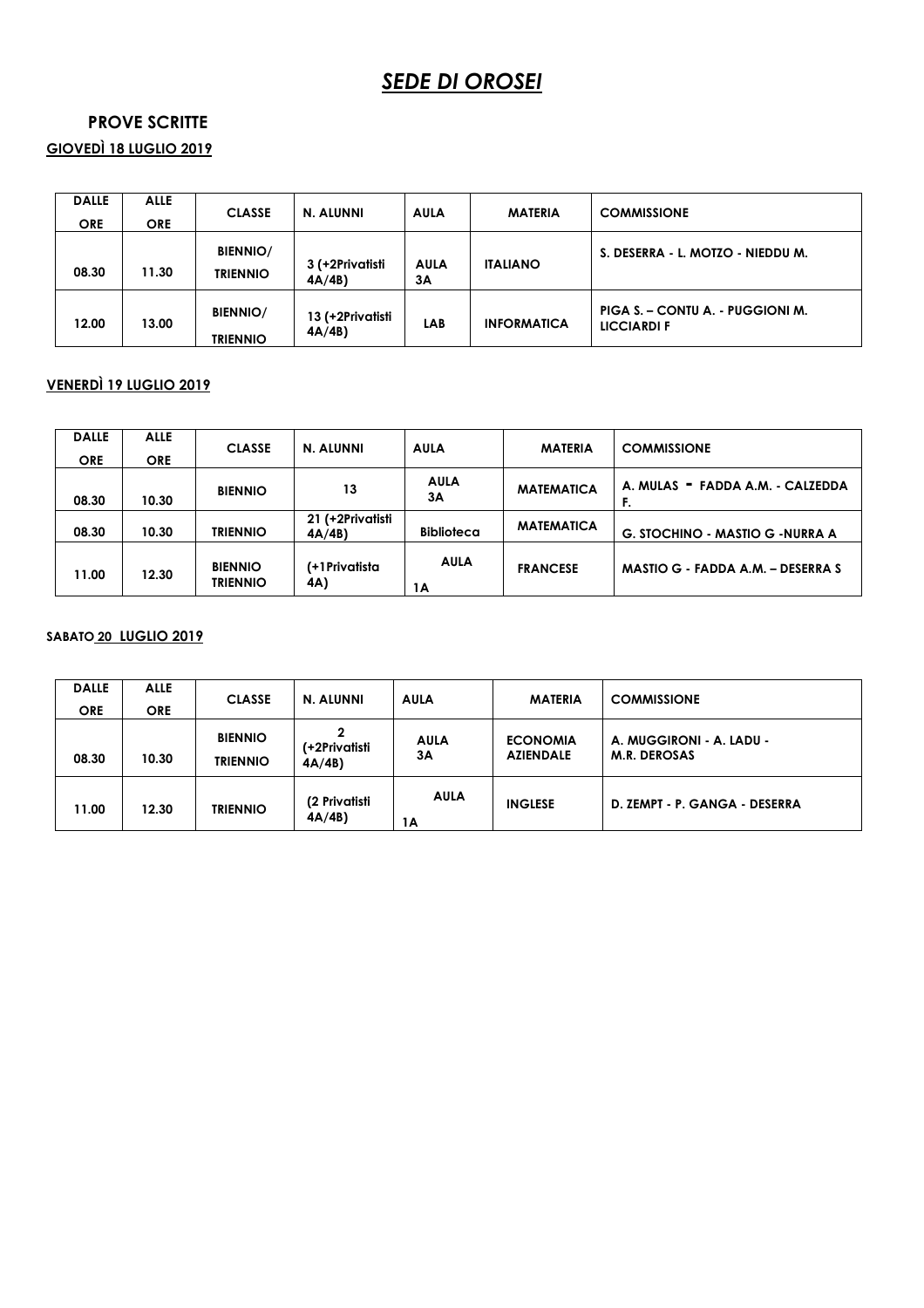# *SEDE DI OROSEI*

#### **PROVE SCRITTE**

**GIOVEDÌ 18 LUGLIO 2019** 

| <b>DALLE</b><br><b>ORE</b> | <b>ALLE</b><br><b>ORE</b> | <b>CLASSE</b>                      | N. ALUNNI                 | AULA              | <b>MATERIA</b>     | <b>COMMISSIONE</b>                              |
|----------------------------|---------------------------|------------------------------------|---------------------------|-------------------|--------------------|-------------------------------------------------|
| 08.30                      | 11.30                     | <b>BIENNIO/</b><br><b>TRIENNIO</b> | 3 (+2Privatisti<br>4A/4B  | <b>AULA</b><br>3A | <b>ITALIANO</b>    | S. DESERRA - L. MOTZO - NIEDDU M.               |
| 12.00                      | 13.00                     | <b>BIENNIO/</b><br><b>TRIENNIO</b> | 13 (+2Privatisti<br>4A/4B | LAB               | <b>INFORMATICA</b> | PIGA S. - CONTU A. - PUGGIONI M.<br>LICCIARDI F |

#### **VENERDÌ 19 LUGLIO 2019**

| <b>DALLE</b><br><b>ORE</b> | <b>ALLE</b><br><b>ORE</b> | <b>CLASSE</b>                     | N. ALUNNI                 | <b>AULA</b>       | <b>MATERIA</b>    | <b>COMMISSIONE</b>                       |
|----------------------------|---------------------------|-----------------------------------|---------------------------|-------------------|-------------------|------------------------------------------|
| 08.30                      | 10.30                     | <b>BIENNIO</b>                    | 13                        | <b>AULA</b><br>3A | <b>MATEMATICA</b> | A. MULAS - FADDA A.M. - CALZEDDA<br>F.   |
| 08.30                      | 10.30                     | <b>TRIENNIO</b>                   | 21 (+2Privatisti<br>4A/4B | <b>Biblioteca</b> | <b>MATEMATICA</b> | <b>G. STOCHINO - MASTIO G - NURRA A</b>  |
| 11.00                      | 12.30                     | <b>BIENNIO</b><br><b>TRIENNIO</b> | (+1 Privatista<br>4A)     | <b>AULA</b><br>1A | <b>FRANCESE</b>   | <b>MASTIO G - FADDA A.M. - DESERRA S</b> |

#### **SABATO 20 LUGLIO 2019**

| <b>DALLE</b><br><b>ORE</b> | <b>ALLE</b><br><b>ORE</b> | <b>CLASSE</b>                     | N. ALUNNI                   | <b>AULA</b>       | <b>MATERIA</b>                      | <b>COMMISSIONE</b>                              |
|----------------------------|---------------------------|-----------------------------------|-----------------------------|-------------------|-------------------------------------|-------------------------------------------------|
| 08.30                      | 10.30                     | <b>BIENNIO</b><br><b>TRIENNIO</b> | 2<br>(+2Privatisti<br>4A/4B | <b>AULA</b><br>3A | <b>ECONOMIA</b><br><b>AZIENDALE</b> | A. MUGGIRONI - A. LADU -<br><b>M.R. DEROSAS</b> |
| 11.00                      | 12.30                     | <b>TRIENNIO</b>                   | (2 Privatisti<br>4A/4B      | <b>AULA</b><br>1Α | <b>INGLESE</b>                      | D. ZEMPT - P. GANGA - DESERRA                   |